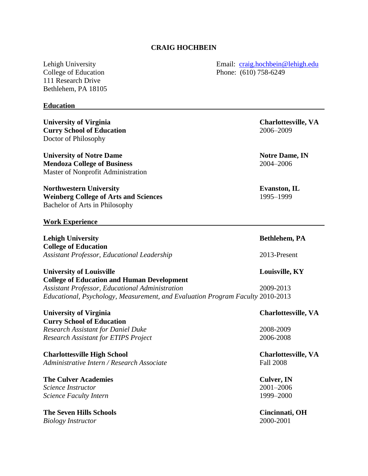## **CRAIG HOCHBEIN**

111 Research Drive Bethlehem, PA 18105

#### **Education**

**University of Virginia Charlottesville, VA Curry School of Education** 2006–2009 Doctor of Philosophy

**University of Notre Dame Notre Dame Notre Dame**, **IN Mendoza College of Business** 2004–2006 Master of Nonprofit Administration

**Northwestern University Evanston, IL** Weinberg College of Arts and Sciences 1995–1999 Bachelor of Arts in Philosophy

#### **Work Experience**

**Lehigh University Bethlehem, PA College of Education** *Assistant Professor, Educational Leadership* 2013-Present

**University of Louisville Louisville, KY College of Education and Human Development** *Assistant Professor, Educational Administration* 2009-2013 *Educational, Psychology, Measurement, and Evaluation Program Faculty* 2010-2013

**University of Virginia Charlottesville, VA Curry School of Education** *Research Assistant for Daniel Duke* 2008-2009 *Research Assistant for ETIPS Project* 2006-2008

**Charlottesville High School Charlottesville, VA** *Administrative Intern / Research Associate* Fall 2008

**The Culver Academies Culver, IN** *Science Instructor* 2001–2006 *Science Faculty Intern* 1999–2000

**The Seven Hills Schools Cincinnati, OH** *Biology Instructor* 2000-2001

Lehigh University Email: [craig.hochbein@lehigh.edu](mailto:craig.hochbein@lehigh.edu) College of Education Phone: (610) 758-6249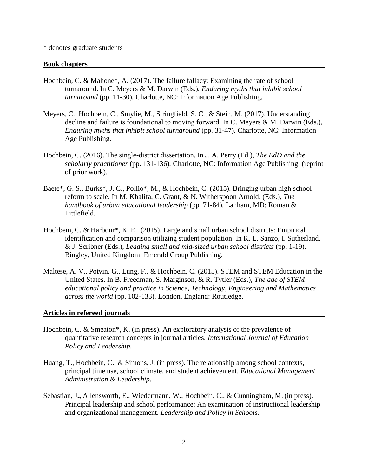#### \* denotes graduate students

#### **Book chapters**

- Hochbein, C. & Mahone\*, A. (2017). The failure fallacy: Examining the rate of school turnaround. In C. Meyers & M. Darwin (Eds.), *Enduring myths that inhibit school turnaround* (pp. 11-30)*.* Charlotte, NC: Information Age Publishing.
- Meyers, C., Hochbein, C., Smylie, M., Stringfield, S. C., & Stein, M. (2017). Understanding decline and failure is foundational to moving forward. In C. Meyers & M. Darwin (Eds.), *Enduring myths that inhibit school turnaround* (pp. 31-47)*.* Charlotte, NC: Information Age Publishing.
- Hochbein, C. (2016). The single-district dissertation. In J. A. Perry (Ed.), *The EdD and the scholarly practitioner* (pp. 131-136)*.* Charlotte, NC: Information Age Publishing. (reprint of prior work).
- Baete\*, G. S., Burks\*, J. C., Pollio\*, M., & Hochbein, C. (2015). Bringing urban high school reform to scale. In M. Khalifa, C. Grant, & N. Witherspoon Arnold, (Eds.), *The handbook of urban educational leadership* (pp. 71-84)*.* Lanham, MD: Roman & Littlefield.
- Hochbein, C. & Harbour\*, K. E. (2015). Large and small urban school districts: Empirical identification and comparison utilizing student population. In K. L. Sanzo, I. Sutherland, & J. Scribner (Eds.), *Leading small and mid-sized urban school districts* (pp. 1-19). Bingley, United Kingdom: Emerald Group Publishing.
- Maltese, A. V., Potvin, G., Lung, F., & Hochbein, C. (2015). STEM and STEM Education in the United States. In B. Freedman, S. Marginson, & R. Tytler (Eds.), *The age of STEM educational policy and practice in Science, Technology, Engineering and Mathematics across the world* (pp. 102-133). London, England: Routledge.

#### **Articles in refereed journals**

- Hochbein, C. & Smeaton\*, K. (in press). An exploratory analysis of the prevalence of quantitative research concepts in journal articles. *International Journal of Education Policy and Leadership.*
- Huang, T., Hochbein, C., & Simons, J. (in press). The relationship among school contexts, principal time use, school climate, and student achievement. *Educational Management Administration & Leadership.*
- Sebastian, J**.,** Allensworth, E., Wiedermann, W., Hochbein, C., & Cunningham, M. (in press). Principal leadership and school performance: An examination of instructional leadership and organizational management. *Leadership and Policy in Schools.*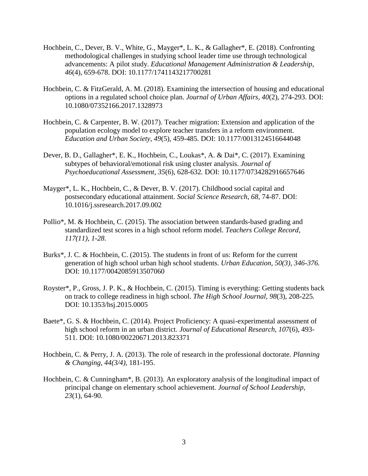- Hochbein, C., Dever, B. V., White, G., Mayger\*, L. K., & Gallagher\*, E. (2018). Confronting methodological challenges in studying school leader time use through technological advancements: A pilot study. *Educational Management Administration & Leadership, 46*(4), 659-678. DOI: 10.1177/1741143217700281
- Hochbein, C. & FitzGerald, A. M. (2018). Examining the intersection of housing and educational options in a regulated school choice plan. *Journal of Urban Affairs, 40*(2), 274-293. DOI: 10.1080/07352166.2017.1328973
- Hochbein, C. & Carpenter, B. W. (2017). Teacher migration: Extension and application of the population ecology model to explore teacher transfers in a reform environment. *Education and Urban Society, 49*(5), 459-485. DOI: 10.1177/0013124516644048
- Dever, B. D., Gallagher\*, E. K., Hochbein, C., Loukas\*, A. & Dai\*, C. (2017). Examining subtypes of behavioral/emotional risk using cluster analysis. *Journal of Psychoeducational Assessment, 35*(6), 628-632*.* DOI: 10.1177/0734282916657646
- Mayger\*, L. K., Hochbein, C., & Dever, B. V. (2017). Childhood social capital and postsecondary educational attainment. *Social Science Research, 68,* 74-87. DOI: 10.1016/j.ssresearch.2017.09.002
- Pollio\*, M. & Hochbein, C. (2015). The association between standards-based grading and standardized test scores in a high school reform model. *Teachers College Record, 117(11), 1-28.*
- Burks\*, J. C. & Hochbein, C. (2015). The students in front of us: Reform for the current generation of high school urban high school students. *Urban Education, 50(3), 346-376.* DOI: 10.1177/0042085913507060
- Royster\*, P., Gross, J. P. K., & Hochbein, C. (2015). Timing is everything: Getting students back on track to college readiness in high school. *The High School Journal, 98*(3), 208-225*.* DOI: 10.1353/hsj.2015.0005
- Baete\*, G. S. & Hochbein, C. (2014). Project Proficiency: A quasi-experimental assessment of high school reform in an urban district. *Journal of Educational Research, 107*(6), 493- 511. DOI: 10.1080/00220671.2013.823371
- Hochbein, C. & Perry, J. A. (2013). The role of research in the professional doctorate. *Planning & Changing, 44(3/4),* 181-195.
- Hochbein, C. & Cunningham\*, B. (2013). An exploratory analysis of the longitudinal impact of principal change on elementary school achievement. *Journal of School Leadership, 23*(1), 64-90.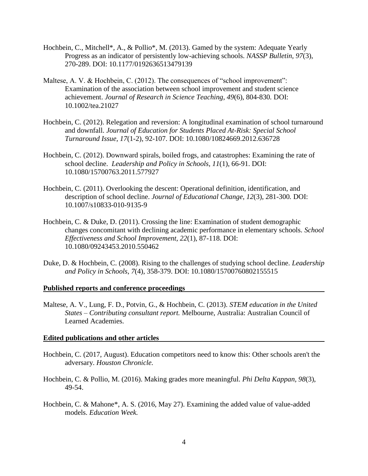- Hochbein, C., Mitchell\*, A., & Pollio\*, M. (2013). Gamed by the system: Adequate Yearly Progress as an indicator of persistently low-achieving schools. *NASSP Bulletin, 97*(3), 270-289. DOI: 10.1177/0192636513479139
- Maltese, A. V. & Hochbein, C. (2012). The consequences of "school improvement": Examination of the association between school improvement and student science achievement. *Journal of Research in Science Teaching, 49*(6), 804-830*.* DOI: 10.1002/tea.21027
- Hochbein, C. (2012). Relegation and reversion: A longitudinal examination of school turnaround and downfall. *Journal of Education for Students Placed At-Risk: Special School Turnaround Issue, 17*(1-2), 92-107. DOI: 10.1080/10824669.2012.636728
- Hochbein, C. (2012). Downward spirals, boiled frogs, and catastrophes: Examining the rate of school decline. *Leadership and Policy in Schools, 11*(1), 66-91. DOI: 10.1080/15700763.2011.577927
- Hochbein, C. (2011). Overlooking the descent: Operational definition, identification, and description of school decline. *Journal of Educational Change, 12*(3), 281-300*.* DOI: 10.1007/s10833-010-9135-9
- Hochbein, C. & Duke, D. (2011). Crossing the line: Examination of student demographic changes concomitant with declining academic performance in elementary schools. *School Effectiveness and School Improvement, 22*(1), 87-118. DOI: 10.1080/09243453.2010.550462
- Duke, D. & Hochbein, C. (2008). Rising to the challenges of studying school decline. *Leadership and Policy in Schools*, *7*(4), 358-379. DOI: 10.1080/15700760802155515

#### **Published reports and conference proceedings**

Maltese, A. V., Lung, F. D., Potvin, G., & Hochbein, C. (2013). *STEM education in the United States – Contributing consultant report.* Melbourne, Australia: Australian Council of Learned Academies.

#### **Edited publications and other articles**

- Hochbein, C. (2017, August). Education competitors need to know this: Other schools aren't the adversary. *Houston Chronicle.*
- Hochbein, C. & Pollio, M. (2016). Making grades more meaningful. *Phi Delta Kappan, 98*(3), 49-54.
- Hochbein, C. & Mahone\*, A. S. (2016, May 27). Examining the added value of value-added models. *Education Week.*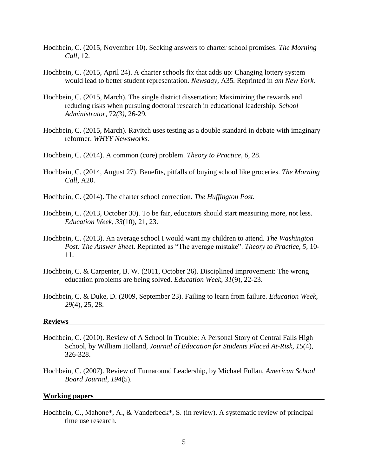- Hochbein, C. (2015, November 10). Seeking answers to charter school promises. *The Morning Call*, 12.
- Hochbein, C. (2015, April 24). A charter schools fix that adds up: Changing lottery system would lead to better student representation. *Newsday,* A35*.* Reprinted in *am New York.*
- Hochbein, C. (2015, March). The single district dissertation: Maximizing the rewards and reducing risks when pursuing doctoral research in educational leadership. *School Administrator,* 72*(3),* 26-29*.*
- Hochbein, C. (2015, March). Ravitch uses testing as a double standard in debate with imaginary reformer. *WHYY Newsworks.*
- Hochbein, C. (2014). A common (core) problem. *Theory to Practice, 6,* 28.
- Hochbein, C. (2014, August 27). Benefits, pitfalls of buying school like groceries. *The Morning Call*, A20.
- Hochbein, C. (2014). The charter school correction. *The Huffington Post.*
- Hochbein, C. (2013, October 30). To be fair, educators should start measuring more, not less. *Education Week, 33*(10), 21, 23.
- Hochbein, C. (2013). An average school I would want my children to attend. *The Washington Post: The Answer Shee*t. Reprinted as "The average mistake". *Theory to Practice, 5,* 10- 11.
- Hochbein, C. & Carpenter, B. W. (2011, October 26). Disciplined improvement: The wrong education problems are being solved. *Education Week*, *31*(9), 22-23.
- Hochbein, C. & Duke, D. (2009, September 23). Failing to learn from failure. *Education Week, 29*(4), 25, 28.

#### **Reviews**

- Hochbein, C. (2010). Review of A School In Trouble: A Personal Story of Central Falls High School, by William Holland, *Journal of Education for Students Placed At-Risk*, *15*(4), 326-328.
- Hochbein, C. (2007). Review of Turnaround Leadership, by Michael Fullan, *American School Board Journal*, *194*(5).

#### **Working papers**

Hochbein, C., Mahone\*, A., & Vanderbeck\*, S. (in review). A systematic review of principal time use research.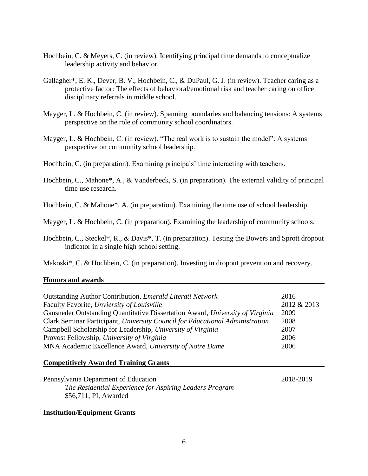- Hochbein, C. & Meyers, C. (in review). Identifying principal time demands to conceptualize leadership activity and behavior.
- Gallagher\*, E. K., Dever, B. V., Hochbein, C., & DuPaul, G. J. (in review). Teacher caring as a protective factor: The effects of behavioral/emotional risk and teacher caring on office disciplinary referrals in middle school.
- Mayger, L. & Hochbein, C. (in review). Spanning boundaries and balancing tensions: A systems perspective on the role of community school coordinators.
- Mayger, L. & Hochbein, C. (in review). "The real work is to sustain the model": A systems perspective on community school leadership.
- Hochbein, C. (in preparation). Examining principals' time interacting with teachers.
- Hochbein, C., Mahone\*, A., & Vanderbeck, S. (in preparation). The external validity of principal time use research.
- Hochbein, C. & Mahone\*, A. (in preparation). Examining the time use of school leadership.
- Mayger, L. & Hochbein, C. (in preparation). Examining the leadership of community schools.
- Hochbein, C., Steckel\*, R., & Davis\*, T. (in preparation). Testing the Bowers and Sprott dropout indicator in a single high school setting.

Makoski\*, C. & Hochbein, C. (in preparation). Investing in dropout prevention and recovery.

### **Honors and awards**

| Outstanding Author Contribution, <i>Emerald Literati Network</i>              | 2016        |
|-------------------------------------------------------------------------------|-------------|
| Faculty Favorite, Unviersity of Louisville                                    | 2012 & 2013 |
| Gansneder Outstanding Quantitative Dissertation Award, University of Virginia | 2009        |
| Clark Seminar Participant, University Council for Educational Administration  | 2008        |
| Campbell Scholarship for Leadership, University of Virginia                   | 2007        |
| Provost Fellowship, University of Virginia                                    | 2006        |
| MNA Academic Excellence Award, University of Notre Dame                       | 2006        |
| <b>Competitively Awarded Training Grants</b>                                  |             |
| Pennsylvania Department of Education                                          | 2018-2019   |
| The Residential Experience for Aspiring Leaders Program                       |             |
| \$56,711, PI, Awarded                                                         |             |
| <b>Institution/Equipment Grants</b>                                           |             |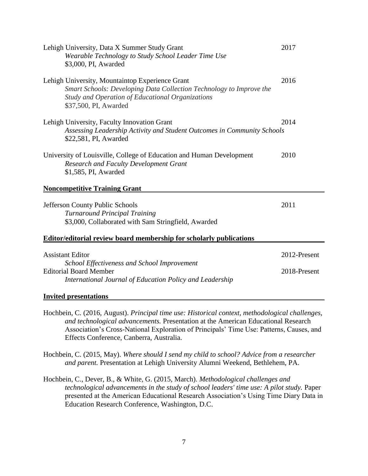| Lehigh University, Data X Summer Study Grant<br>Wearable Technology to Study School Leader Time Use<br>\$3,000, PI, Awarded                                                                         | 2017                         |
|-----------------------------------------------------------------------------------------------------------------------------------------------------------------------------------------------------|------------------------------|
| Lehigh University, Mountaintop Experience Grant<br>Smart Schools: Developing Data Collection Technology to Improve the<br>Study and Operation of Educational Organizations<br>\$37,500, PI, Awarded | 2016                         |
| Lehigh University, Faculty Innovation Grant<br>Assessing Leadership Activity and Student Outcomes in Community Schools<br>\$22,581, PI, Awarded                                                     | 2014                         |
| University of Louisville, College of Education and Human Development<br><b>Research and Faculty Development Grant</b><br>\$1,585, PI, Awarded                                                       | 2010                         |
| <b>Noncompetitive Training Grant</b>                                                                                                                                                                |                              |
| Jefferson County Public Schools<br><b>Turnaround Principal Training</b><br>\$3,000, Collaborated with Sam Stringfield, Awarded                                                                      | 2011                         |
| <b>Editor/editorial review board membership for scholarly publications</b>                                                                                                                          |                              |
| <b>Assistant Editor</b><br>School Effectiveness and School Improvement<br><b>Editorial Board Member</b><br>International Journal of Education Policy and Leadership                                 | 2012-Present<br>2018-Present |
| <b>Invited presentations</b>                                                                                                                                                                        |                              |

Hochbein, C. (2016, August). *Principal time use: Historical context, methodological challenges, and technological advancements.* Presentation at the American Educational Research Association's Cross-National Exploration of Principals' Time Use: Patterns, Causes, and Effects Conference, Canberra, Australia.

Hochbein, C. (2015, May). *Where should I send my child to school? Advice from a researcher and parent.* Presentation at Lehigh University Alumni Weekend, Bethlehem, PA.

Hochbein, C., Dever, B., & White, G. (2015, March). *Methodological challenges and technological advancements in the study of school leaders' time use: A pilot study.* Paper presented at the American Educational Research Association's Using Time Diary Data in Education Research Conference, Washington, D.C.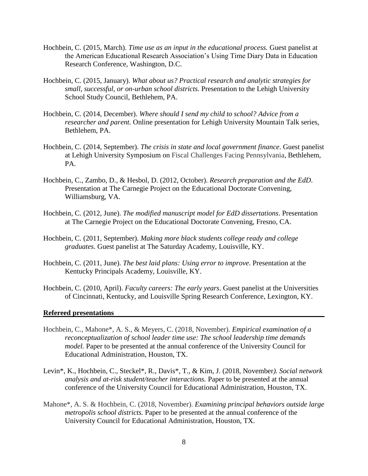- Hochbein, C. (2015, March). *Time use as an input in the educational process.* Guest panelist at the American Educational Research Association's Using Time Diary Data in Education Research Conference, Washington, D.C.
- Hochbein, C. (2015, January). *What about us? Practical research and analytic strategies for small, successful, or on-urban school districts.* Presentation to the Lehigh University School Study Council, Bethlehem, PA.
- Hochbein, C. (2014, December). *Where should I send my child to school? Advice from a researcher and parent.* Online presentation for Lehigh University Mountain Talk series, Bethlehem, PA.
- Hochbein, C. (2014, September). *The crisis in state and local government finance*. Guest panelist at Lehigh University Symposium on Fiscal Challenges Facing Pennsylvania, Bethlehem, PA.
- Hochbein, C., Zambo, D., & Hesbol, D. (2012, October). *Research preparation and the EdD*. Presentation at The Carnegie Project on the Educational Doctorate Convening, Williamsburg, VA.
- Hochbein, C. (2012, June). *The modified manuscript model for EdD dissertations*. Presentation at The Carnegie Project on the Educational Doctorate Convening, Fresno, CA.
- Hochbein, C. (2011, September). *Making more black students college ready and college graduates*. Guest panelist at The Saturday Academy, Louisville, KY.
- Hochbein, C. (2011, June). *The best laid plans: Using error to improve*. Presentation at the Kentucky Principals Academy, Louisville, KY.
- Hochbein, C. (2010, April). *Faculty careers: The early years*. Guest panelist at the Universities of Cincinnati, Kentucky, and Louisville Spring Research Conference, Lexington, KY.

#### **Refereed presentations**

- Hochbein, C., Mahone\*, A. S., & Meyers, C. (2018, November). *Empirical examination of a reconceptualization of school leader time use: The school leadership time demands model.* Paper to be presented at the annual conference of the University Council for Educational Administration, Houston, TX.
- Levin\*, K., Hochbein, C., Steckel\*, R., Davis\*, T., & Kim, J. (2018, November*). Social network analysis and at-risk student/teacher interactions.* Paper to be presented at the annual conference of the University Council for Educational Administration, Houston, TX.
- Mahone\*, A. S. & Hochbein, C. (2018, November). *Examining principal behaviors outside large metropolis school districts.* Paper to be presented at the annual conference of the University Council for Educational Administration, Houston, TX.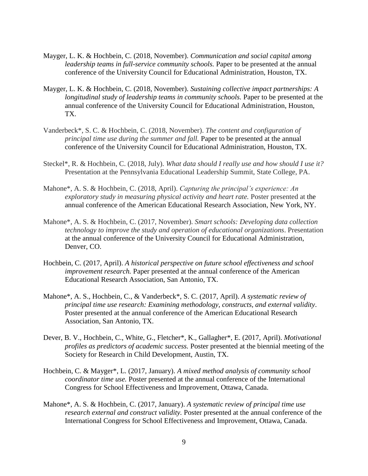- Mayger, L. K. & Hochbein, C. (2018, November). *Communication and social capital among leadership teams in full-service community schools.* Paper to be presented at the annual conference of the University Council for Educational Administration, Houston, TX.
- Mayger, L. K. & Hochbein, C. (2018, November). *Sustaining collective impact partnerships: A longitudinal study of leadership teams in community schools.* Paper to be presented at the annual conference of the University Council for Educational Administration, Houston, TX.
- Vanderbeck\*, S. C. & Hochbein, C. (2018, November). *The content and configuration of principal time use during the summer and fall.* Paper to be presented at the annual conference of the University Council for Educational Administration, Houston, TX.
- Steckel\*, R. & Hochbein, C. (2018, July). *What data should I really use and how should I use it?*  Presentation at the Pennsylvania Educational Leadership Summit, State College, PA.
- Mahone\*, A. S. & Hochbein, C. (2018, April). *Capturing the principal's experience: An exploratory study in measuring physical activity and heart rate.* Poster presented at the annual conference of the American Educational Research Association, New York, NY.
- Mahone\*, A. S. & Hochbein, C. (2017, November). *Smart schools: Developing data collection technology to improve the study and operation of educational organizations*. Presentation at the annual conference of the University Council for Educational Administration, Denver, CO.
- Hochbein, C. (2017, April). *A historical perspective on future school effectiveness and school improvement research.* Paper presented at the annual conference of the American Educational Research Association, San Antonio, TX.
- Mahone\*, A. S., Hochbein, C., & Vanderbeck\*, S. C. (2017, April). *A systematic review of principal time use research: Examining methodology, constructs, and external validity*. Poster presented at the annual conference of the American Educational Research Association, San Antonio, TX.
- Dever, B. V., Hochbein, C., White, G., Fletcher\*, K., Gallagher\*, E. (2017, April). *Motivational profiles as predictors of academic success.* Poster presented at the biennial meeting of the Society for Research in Child Development, Austin, TX.
- Hochbein, C. & Mayger\*, L. (2017, January). *A mixed method analysis of community school coordinator time use.* Poster presented at the annual conference of the International Congress for School Effectiveness and Improvement, Ottawa, Canada.
- Mahone\*, A. S. & Hochbein, C. (2017, January). *A systematic review of principal time use research external and construct validity.* Poster presented at the annual conference of the International Congress for School Effectiveness and Improvement, Ottawa, Canada.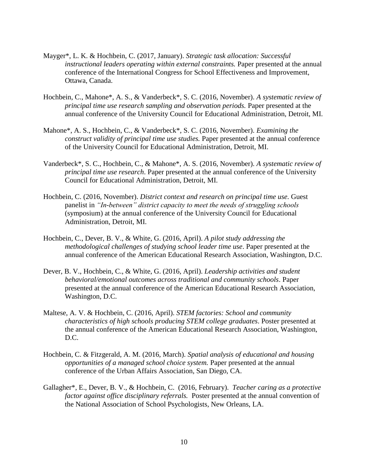- Mayger\*, L. K. & Hochbein, C. (2017, January). *Strategic task allocation: Successful instructional leaders operating within external constraints.* Paper presented at the annual conference of the International Congress for School Effectiveness and Improvement, Ottawa, Canada.
- Hochbein, C., Mahone\*, A. S., & Vanderbeck\*, S. C. (2016, November). *A systematic review of principal time use research sampling and observation periods.* Paper presented at the annual conference of the University Council for Educational Administration, Detroit, MI.
- Mahone\*, A. S., Hochbein, C., & Vanderbeck\*, S. C. (2016, November). *Examining the construct validity of principal time use studies.* Paper presented at the annual conference of the University Council for Educational Administration, Detroit, MI.
- Vanderbeck\*, S. C., Hochbein, C., & Mahone\*, A. S. (2016, November). *A systematic review of principal time use research*. Paper presented at the annual conference of the University Council for Educational Administration, Detroit, MI.
- Hochbein, C. (2016, November). *District context and research on principal time use.* Guest panelist in *"In-between" district capacity to meet the needs of struggling schools* (symposium) at the annual conference of the University Council for Educational Administration, Detroit, MI.
- Hochbein, C., Dever, B. V., & White, G. (2016, April). *A pilot study addressing the methodological challenges of studying school leader time use*. Paper presented at the annual conference of the American Educational Research Association, Washington, D.C.
- Dever, B. V., Hochbein, C., & White, G. (2016, April). *Leadership activities and student behavioral/emotional outcomes across traditional and community schools*. Paper presented at the annual conference of the American Educational Research Association, Washington, D.C.
- Maltese, A. V. & Hochbein, C. (2016, April). *STEM factories: School and community characteristics of high schools producing STEM college graduates*. Poster presented at the annual conference of the American Educational Research Association, Washington, D.C.
- Hochbein, C. & Fitzgerald, A. M. (2016, March). *Spatial analysis of educational and housing opportunities of a managed school choice system.* Paper presented at the annual conference of the Urban Affairs Association, San Diego, CA.
- Gallagher\*, E., Dever, B. V., & Hochbein, C. (2016, February). *Teacher caring as a protective factor against office disciplinary referrals.* Poster presented at the annual convention of the National Association of School Psychologists, New Orleans, LA.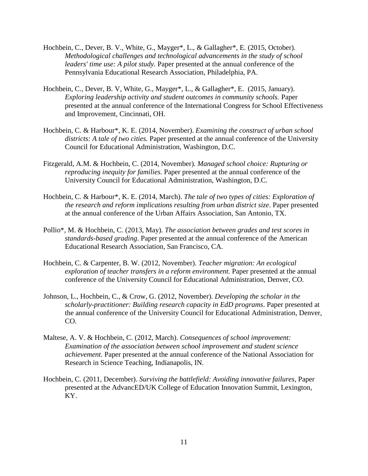- Hochbein, C., Dever, B. V., White, G., Mayger\*, L., & Gallagher\*, E. (2015, October). *Methodological challenges and technological advancements in the study of school leaders' time use: A pilot study.* Paper presented at the annual conference of the Pennsylvania Educational Research Association, Philadelphia, PA.
- Hochbein, C., Dever, B. V, White, G., Mayger\*, L., & Gallagher\*, E. (2015, January). *Exploring leadership activity and student outcomes in community schools.* Paper presented at the annual conference of the International Congress for School Effectiveness and Improvement, Cincinnati, OH.
- Hochbein, C. & Harbour\*, K. E. (2014, November). *Examining the construct of urban school districts: A tale of two cities.* Paper presented at the annual conference of the University Council for Educational Administration, Washington, D.C.
- Fitzgerald, A.M. & Hochbein, C. (2014, November). *Managed school choice: Rupturing or reproducing inequity for families.* Paper presented at the annual conference of the University Council for Educational Administration, Washington, D.C.
- Hochbein, C. & Harbour\*, K. E. (2014, March). *The tale of two types of cities: Exploration of the research and reform implications resulting from urban district size*. Paper presented at the annual conference of the Urban Affairs Association, San Antonio, TX.
- Pollio\*, M. & Hochbein, C. (2013, May). *The association between grades and test scores in standards-based grading*. Paper presented at the annual conference of the American Educational Research Association, San Francisco, CA.
- Hochbein, C. & Carpenter, B. W. (2012, November). *Teacher migration: An ecological exploration of teacher transfers in a reform environment.* Paper presented at the annual conference of the University Council for Educational Administration, Denver, CO.
- Johnson, L., Hochbein, C., & Crow, G. (2012, November). *Developing the scholar in the scholarly-practitioner: Building research capacity in EdD programs*. Paper presented at the annual conference of the University Council for Educational Administration, Denver, CO.
- Maltese, A. V. & Hochbein, C. (2012, March). *Consequences of school improvement: Examination of the association between school improvement and student science achievement.* Paper presented at the annual conference of the National Association for Research in Science Teaching, Indianapolis, IN.
- Hochbein, C. (2011, December). *Surviving the battlefield: Avoiding innovative failures*, Paper presented at the AdvancED/UK College of Education Innovation Summit, Lexington, KY.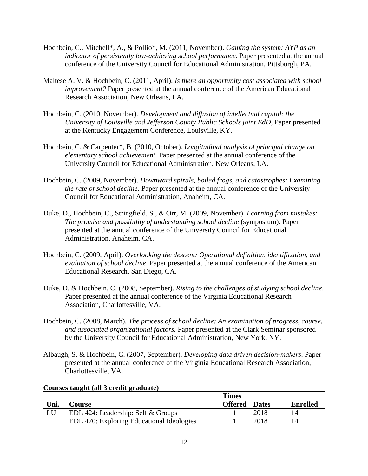- Hochbein, C., Mitchell\*, A., & Pollio\*, M. (2011, November). *Gaming the system: AYP as an indicator of persistently low-achieving school performance.* Paper presented at the annual conference of the University Council for Educational Administration, Pittsburgh, PA.
- Maltese A. V. & Hochbein, C. (2011, April). *Is there an opportunity cost associated with school improvement?* Paper presented at the annual conference of the American Educational Research Association, New Orleans, LA.
- Hochbein, C. (2010, November). *Development and diffusion of intellectual capital: the University of Louisville and Jefferson County Public Schools joint EdD,* Paper presented at the Kentucky Engagement Conference, Louisville, KY.
- Hochbein, C. & Carpenter\*, B. (2010, October). *Longitudinal analysis of principal change on elementary school achievement.* Paper presented at the annual conference of the University Council for Educational Administration, New Orleans, LA.
- Hochbein, C. (2009, November). *Downward spirals, boiled frogs, and catastrophes: Examining the rate of school decline.* Paper presented at the annual conference of the University Council for Educational Administration, Anaheim, CA.
- Duke, D., Hochbein, C., Stringfield, S., & Orr, M. (2009, November). *Learning from mistakes: The promise and possibility of understanding school decline* (symposium). Paper presented at the annual conference of the University Council for Educational Administration, Anaheim, CA.
- Hochbein, C. (2009, April). *Overlooking the descent: Operational definition, identification, and evaluation of school decline*. Paper presented at the annual conference of the American Educational Research, San Diego, CA.
- Duke, D. & Hochbein, C. (2008, September). *Rising to the challenges of studying school decline*. Paper presented at the annual conference of the Virginia Educational Research Association, Charlottesville, VA.
- Hochbein, C. (2008, March). *The process of school decline: An examination of progress, course, and associated organizational factors.* Paper presented at the Clark Seminar sponsored by the University Council for Educational Administration, New York, NY.
- Albaugh, S. & Hochbein, C. (2007, September). *Developing data driven decision-makers*. Paper presented at the annual conference of the Virginia Educational Research Association, Charlottesville, VA.

|      | Courses taught (an 5 Greuit grauuate) |                                |              |                 |
|------|---------------------------------------|--------------------------------|--------------|-----------------|
| Uni. | <b>Course</b>                         | <b>Times</b><br><b>Offered</b> | <b>Dates</b> | <b>Enrolled</b> |
| LU   | EDL 424: Leadership: Self & Groups    |                                | 2018         | 14              |

## **Courses taught (all 3 credit graduate)**

EDL 470: Exploring Educational Ideologies 1 2018 14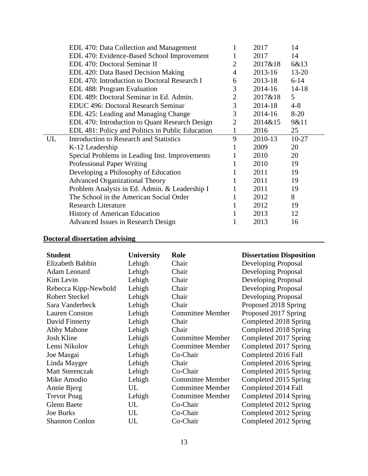| EDL 470: Data Collection and Management              |                | 2017    | 14        |  |
|------------------------------------------------------|----------------|---------|-----------|--|
| EDL 470: Evidence-Based School Improvement           |                | 2017    | 14        |  |
| EDL 470: Doctoral Seminar II                         | $\overline{2}$ | 2017&18 | 6&13      |  |
| EDL 420: Data Based Decision Making                  | 4              | 2013-16 | $13 - 20$ |  |
| EDL 470: Introduction to Doctoral Research I         | 6              | 2013-18 | $6 - 14$  |  |
| EDL 488: Program Evaluation                          | 3              | 2014-16 | $14 - 18$ |  |
| EDL 489: Doctoral Seminar in Ed. Admin.              | $\overline{2}$ | 2017&18 | 5         |  |
| <b>EDUC</b> 496: Doctoral Research Seminar           | 3              | 2014-18 | $4 - 8$   |  |
| EDL 425: Leading and Managing Change                 | 3              | 2014-16 | $8-20$    |  |
| EDL 470: Introduction to Quant Research Design       | $\overline{2}$ | 2014&15 | 9&11      |  |
| EDL 481: Policy and Politics in Public Education     |                | 2016    | 25        |  |
| <b>Introduction to Research and Statistics</b><br>UL | 9              | 2010-13 | $10-27$   |  |
| K-12 Leadership                                      |                | 2009    | 20        |  |
| Special Problems in Leading Inst. Improvements       |                | 2010    | 20        |  |
| <b>Professional Paper Writing</b>                    |                | 2010    | 19        |  |
| Developing a Philosophy of Education                 |                | 2011    | 19        |  |
| <b>Advanced Organizational Theory</b>                |                | 2011    | 19        |  |
| Problem Analysis in Ed. Admin. & Leadership I        |                | 2011    | 19        |  |
|                                                      |                |         |           |  |
| The School in the American Social Order              |                | 2012    | 8         |  |
| <b>Research Literature</b>                           | 1              | 2012    | 19        |  |
| <b>History of American Education</b>                 |                | 2013    | 12        |  |
|                                                      |                |         |           |  |

# **Doctoral dissertation advising**

| <b>Student</b>         | <b>University</b> | Role                    | <b>Dissertation Disposition</b> |
|------------------------|-------------------|-------------------------|---------------------------------|
| Elizabeth Babbin       | Lehigh            | Chair                   | Developing Proposal             |
| Adam Leonard           | Lehigh            | Chair                   | Developing Proposal             |
| Kim Levin              | Lehigh            | Chair                   | Developing Proposal             |
| Rebecca Kipp-Newbold   | Lehigh            | Chair                   | Developing Proposal             |
| <b>Robert Steckel</b>  | Lehigh            | Chair                   | Developing Proposal             |
| Sara Vanderbeck        | Lehigh            | Chair                   | Proposed 2018 Spring            |
| <b>Lauren Conston</b>  | Lehigh            | <b>Committee Member</b> | Proposed 2017 Spring            |
| David Finnerty         | Lehigh            | Chair                   | Completed 2018 Spring           |
| Abby Mahone            | Lehigh            | Chair                   | Completed 2018 Spring           |
| Josh Kline             | Lehigh            | <b>Committee Member</b> | Completed 2017 Spring           |
| Lensi Nikolov          | Lehigh            | <b>Committee Member</b> | Completed 2017 Spring           |
| Joe Masgai             | Lehigh            | Co-Chair                | Completed 2016 Fall             |
| Linda Mayger           | Lehigh            | Chair                   | Completed 2016 Spring           |
| <b>Matt Sterenczak</b> | Lehigh            | Co-Chair                | Completed 2015 Spring           |
| Mike Amodio            | Lehigh            | <b>Committee Member</b> | Completed 2015 Spring           |
| Annie Bjerg            | UL                | <b>Committee Member</b> | Completed 2014 Fall             |
| <b>Trevor Poag</b>     | Lehigh            | <b>Committee Member</b> | Completed 2014 Spring           |
| <b>Glenn Baete</b>     | UL                | Co-Chair                | Completed 2012 Spring           |
| Joe Burks              | UL                | Co-Chair                | Completed 2012 Spring           |
| <b>Shannon Conlon</b>  | UL                | Co-Chair                | Completed 2012 Spring           |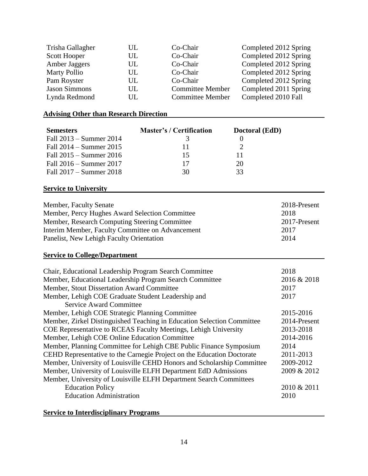| Trisha Gallagher     | UL | Co-Chair                | Completed 2012 Spring |
|----------------------|----|-------------------------|-----------------------|
| Scott Hooper         | UL | Co-Chair                | Completed 2012 Spring |
| Amber Jaggers        | UL | Co-Chair                | Completed 2012 Spring |
| <b>Marty Pollio</b>  | UL | Co-Chair                | Completed 2012 Spring |
| Pam Royster          | UL | Co-Chair                | Completed 2012 Spring |
| <b>Jason Simmons</b> | UL | <b>Committee Member</b> | Completed 2011 Spring |
| Lynda Redmond        | UL | <b>Committee Member</b> | Completed 2010 Fall   |

# **Advising Other than Research Direction**

| <b>Semesters</b>                                                       | <b>Master's / Certification</b> | Doctoral (EdD)   |              |
|------------------------------------------------------------------------|---------------------------------|------------------|--------------|
| Fall 2013 – Summer 2014                                                | 3                               | $\boldsymbol{0}$ |              |
| Fall 2014 – Summer 2015                                                | 11                              | $\overline{2}$   |              |
| Fall 2015 – Summer 2016                                                | 15                              | 11               |              |
| Fall 2016 – Summer 2017                                                | 17                              | 20               |              |
| Fall 2017 – Summer 2018                                                | 30                              | 33               |              |
| <b>Service to University</b>                                           |                                 |                  |              |
| Member, Faculty Senate                                                 |                                 |                  | 2018-Present |
| Member, Percy Hughes Award Selection Committee                         |                                 |                  | 2018         |
| Member, Research Computing Steering Committee                          |                                 |                  | 2017-Present |
| Interim Member, Faculty Committee on Advancement                       |                                 |                  | 2017         |
| Panelist, New Lehigh Faculty Orientation                               |                                 |                  | 2014         |
| <b>Service to College/Department</b>                                   |                                 |                  |              |
| Chair, Educational Leadership Program Search Committee                 |                                 |                  | 2018         |
| Member, Educational Leadership Program Search Committee                |                                 |                  | 2016 & 2018  |
| Member, Stout Dissertation Award Committee                             |                                 |                  | 2017         |
| Member, Lehigh COE Graduate Student Leadership and                     |                                 |                  | 2017         |
| <b>Service Award Committee</b>                                         |                                 |                  |              |
| Member, Lehigh COE Strategic Planning Committee                        |                                 |                  | 2015-2016    |
| Member, Zirkel Distinguished Teaching in Education Selection Committee |                                 |                  | 2014-Present |
| COE Representative to RCEAS Faculty Meetings, Lehigh University        |                                 |                  | 2013-2018    |
| Member, Lehigh COE Online Education Committee                          |                                 |                  | 2014-2016    |
| Member, Planning Committee for Lehigh CBE Public Finance Symposium     |                                 |                  | 2014         |
| CEHD Representative to the Carnegie Project on the Education Doctorate |                                 |                  | 2011-2013    |
| Member, University of Louisville CEHD Honors and Scholarship Committee |                                 |                  | 2009-2012    |
| Member, University of Louisville ELFH Department EdD Admissions        |                                 |                  | 2009 & 2012  |
| Member, University of Louisville ELFH Department Search Committees     |                                 |                  |              |
| <b>Education Policy</b>                                                |                                 |                  | 2010 & 2011  |
| <b>Education Administration</b>                                        |                                 |                  | 2010         |
|                                                                        |                                 |                  |              |

# **Service to Interdisciplinary Programs**